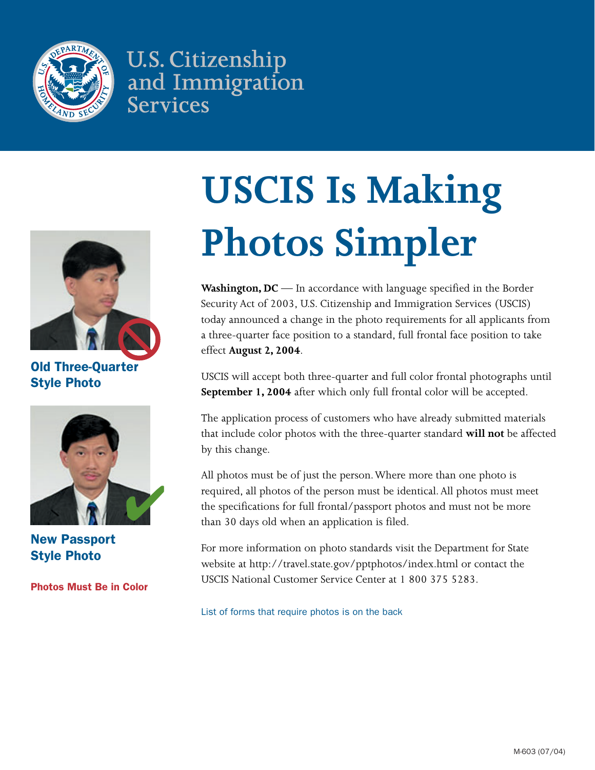

**U.S. Citizenship** and Immigration **Services** 



Old Three-Quarter Style Photo



New Passport Style Photo

Photos Must Be in Color

# **USCIS Is Making Photos Simpler**

**Washington, DC** — In accordance with language specified in the Border Security Act of 2003, U.S. Citizenship and Immigration Services (USCIS) today announced a change in the photo requirements for all applicants from a three-quarter face position to a standard, full frontal face position to take effect **August 2, 2004**.

USCIS will accept both three-quarter and full color frontal photographs until **September 1, 2004** after which only full frontal color will be accepted.

The application process of customers who have already submitted materials that include color photos with the three-quarter standard **will not** be affected by this change.

All photos must be of just the person. Where more than one photo is required, all photos of the person must be identical. All photos must meet the specifications for full frontal/passport photos and must not be more than 30 days old when an application is filed.

For more information on photo standards visit the Department for State website at http://travel.state.gov/pptphotos/index.html or contact the USCIS National Customer Service Center at 1 800 375 5283.

List of forms that require photos is on the back